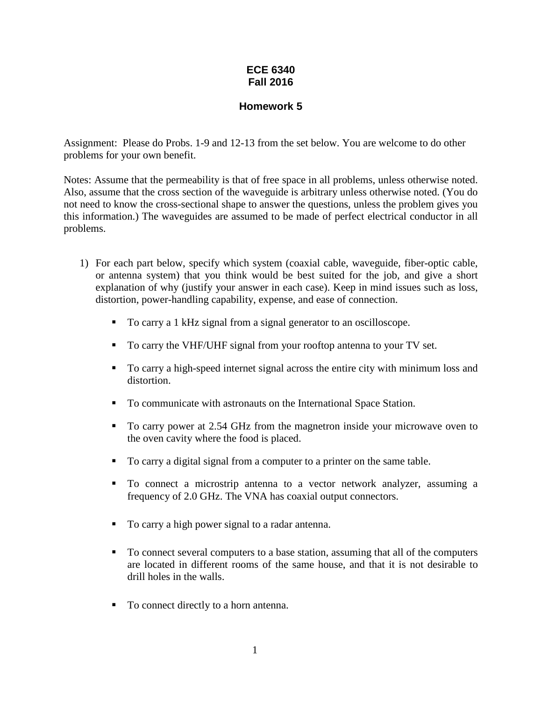## **ECE 6340 Fall 2016**

## **Homework 5**

Assignment: Please do Probs. 1-9 and 12-13 from the set below. You are welcome to do other problems for your own benefit.

Notes: Assume that the permeability is that of free space in all problems, unless otherwise noted. Also, assume that the cross section of the waveguide is arbitrary unless otherwise noted. (You do not need to know the cross-sectional shape to answer the questions, unless the problem gives you this information.) The waveguides are assumed to be made of perfect electrical conductor in all problems.

- 1) For each part below, specify which system (coaxial cable, waveguide, fiber-optic cable, or antenna system) that you think would be best suited for the job, and give a short explanation of why (justify your answer in each case). Keep in mind issues such as loss, distortion, power-handling capability, expense, and ease of connection.
	- To carry a 1 kHz signal from a signal generator to an oscilloscope.
	- To carry the VHF/UHF signal from your rooftop antenna to your TV set.
	- To carry a high-speed internet signal across the entire city with minimum loss and distortion.
	- To communicate with astronauts on the International Space Station.
	- To carry power at 2.54 GHz from the magnetron inside your microwave oven to the oven cavity where the food is placed.
	- To carry a digital signal from a computer to a printer on the same table.
	- To connect a microstrip antenna to a vector network analyzer, assuming a frequency of 2.0 GHz. The VNA has coaxial output connectors.
	- To carry a high power signal to a radar antenna.
	- To connect several computers to a base station, assuming that all of the computers are located in different rooms of the same house, and that it is not desirable to drill holes in the walls.
	- To connect directly to a horn antenna.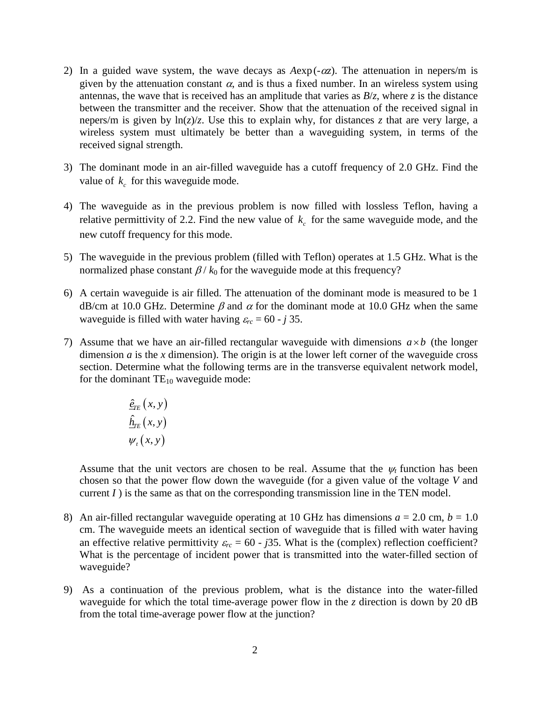- 2) In a guided wave system, the wave decays as  $A \exp(-\alpha z)$ . The attenuation in nepers/m is given by the attenuation constant  $\alpha$ , and is thus a fixed number. In an wireless system using antennas, the wave that is received has an amplitude that varies as  $B/z$ , where *z* is the distance between the transmitter and the receiver. Show that the attenuation of the received signal in nepers/m is given by  $\ln(z)/z$ . Use this to explain why, for distances *z* that are very large, a wireless system must ultimately be better than a waveguiding system, in terms of the received signal strength.
- 3) The dominant mode in an air-filled waveguide has a cutoff frequency of 2.0 GHz. Find the value of  $k_c$  for this waveguide mode.
- 4) The waveguide as in the previous problem is now filled with lossless Teflon, having a relative permittivity of 2.2. Find the new value of  $k_c$  for the same waveguide mode, and the new cutoff frequency for this mode.
- 5) The waveguide in the previous problem (filled with Teflon) operates at 1.5 GHz. What is the normalized phase constant  $\beta / k_0$  for the waveguide mode at this frequency?
- 6) A certain waveguide is air filled. The attenuation of the dominant mode is measured to be 1  $dB/cm$  at 10.0 GHz. Determine  $\beta$  and  $\alpha$  for the dominant mode at 10.0 GHz when the same waveguide is filled with water having  $\varepsilon_{rc} = 60 - j 35$ .
- 7) Assume that we have an air-filled rectangular waveguide with dimensions  $a \times b$  (the longer dimension  $a$  is the  $x$  dimension). The origin is at the lower left corner of the waveguide cross section. Determine what the following terms are in the transverse equivalent network model, for the dominant  $TE_{10}$  waveguide mode:

$$
\frac{\hat{\varrho}_{TE}\left(x,y\right)}{\hat{\underline{h}}_{TE}\left(x,y\right)}
$$
\n
$$
\psi_t\left(x,y\right)
$$

Assume that the unit vectors are chosen to be real. Assume that the  $\psi_t$  function has been chosen so that the power flow down the waveguide (for a given value of the voltage *V* and current  $I$ ) is the same as that on the corresponding transmission line in the TEN model.

- 8) An air-filled rectangular waveguide operating at 10 GHz has dimensions  $a = 2.0$  cm,  $b = 1.0$ cm. The waveguide meets an identical section of waveguide that is filled with water having an effective relative permittivity  $\varepsilon_{rc} = 60 - j35$ . What is the (complex) reflection coefficient? What is the percentage of incident power that is transmitted into the water-filled section of waveguide?
- 9) As a continuation of the previous problem, what is the distance into the water-filled waveguide for which the total time-average power flow in the *z* direction is down by 20 dB from the total time-average power flow at the junction?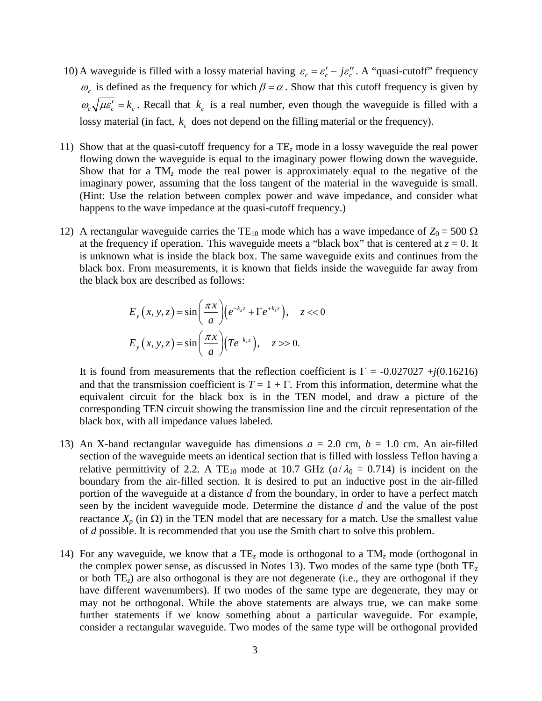- 10) A waveguide is filled with a lossy material having  $\varepsilon_c = \varepsilon_c' j\varepsilon_c''$ . A "quasi-cutoff" frequency  $\omega_c$  is defined as the frequency for which  $\beta = \alpha$ . Show that this cutoff frequency is given by  $\omega_c \sqrt{\mu \varepsilon_c^{\prime}} = k_c$ . Recall that  $k_c$  is a real number, even though the waveguide is filled with a lossy material (in fact,  $k_c$  does not depend on the filling material or the frequency).
- 11) Show that at the quasi-cutoff frequency for a TE*<sup>z</sup>* mode in a lossy waveguide the real power flowing down the waveguide is equal to the imaginary power flowing down the waveguide. Show that for a TM<sub>z</sub> mode the real power is approximately equal to the negative of the imaginary power, assuming that the loss tangent of the material in the waveguide is small. (Hint: Use the relation between complex power and wave impedance, and consider what happens to the wave impedance at the quasi-cutoff frequency.)
- 12) A rectangular waveguide carries the TE<sub>10</sub> mode which has a wave impedance of  $Z_0 = 500 \Omega$ at the frequency if operation. This waveguide meets a "black box" that is centered at  $z = 0$ . It is unknown what is inside the black box. The same waveguide exits and continues from the black box. From measurements, it is known that fields inside the waveguide far away from the black box are described as follows:

$$
E_y(x, y, z) = \sin\left(\frac{\pi x}{a}\right) \left(e^{-k_z z} + \Gamma e^{+k_z z}\right), \quad z < 0
$$

$$
E_y(x, y, z) = \sin\left(\frac{\pi x}{a}\right) \left(T e^{-k_z z}\right), \quad z > 0.
$$

It is found from measurements that the reflection coefficient is  $\Gamma = -0.027027 + j(0.16216)$ and that the transmission coefficient is  $T = 1 + \Gamma$ . From this information, determine what the equivalent circuit for the black box is in the TEN model, and draw a picture of the corresponding TEN circuit showing the transmission line and the circuit representation of the black box, with all impedance values labeled.

- 13) An X-band rectangular waveguide has dimensions  $a = 2.0$  cm,  $b = 1.0$  cm. An air-filled section of the waveguide meets an identical section that is filled with lossless Teflon having a relative permittivity of 2.2. A TE<sub>10</sub> mode at 10.7 GHz ( $a/\lambda_0 = 0.714$ ) is incident on the boundary from the air-filled section. It is desired to put an inductive post in the air-filled portion of the waveguide at a distance *d* from the boundary, in order to have a perfect match seen by the incident waveguide mode. Determine the distance *d* and the value of the post reactance  $X_p$  (in Ω) in the TEN model that are necessary for a match. Use the smallest value of *d* possible. It is recommended that you use the Smith chart to solve this problem.
- 14) For any waveguide, we know that a TE*<sup>z</sup>* mode is orthogonal to a TM*<sup>z</sup>* mode (orthogonal in the complex power sense, as discussed in Notes 13). Two modes of the same type (both TE*<sup>z</sup>* or both TE*z*) are also orthogonal is they are not degenerate (i.e., they are orthogonal if they have different wavenumbers). If two modes of the same type are degenerate, they may or may not be orthogonal. While the above statements are always true, we can make some further statements if we know something about a particular waveguide. For example, consider a rectangular waveguide. Two modes of the same type will be orthogonal provided